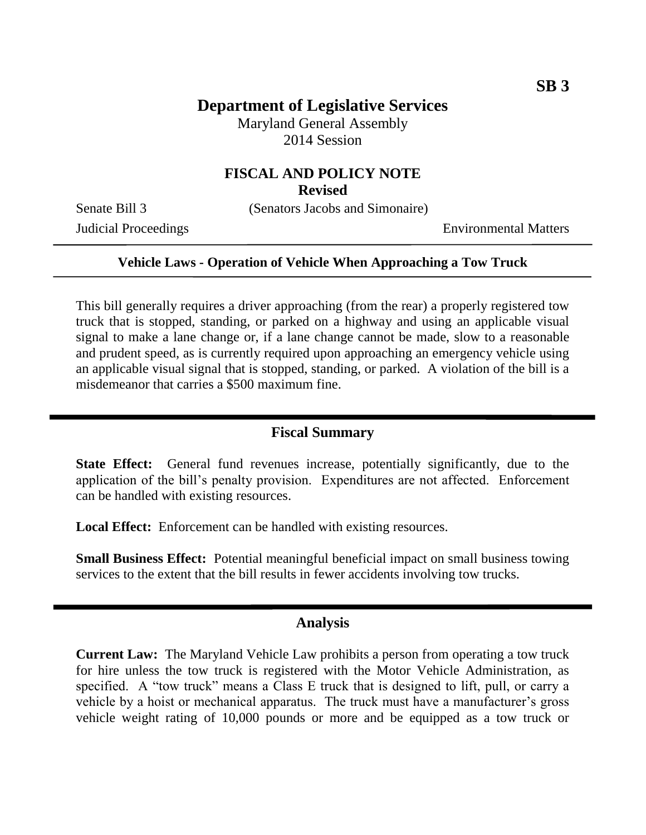## **Department of Legislative Services**

Maryland General Assembly 2014 Session

## **FISCAL AND POLICY NOTE**

**Revised**

Senate Bill 3 (Senators Jacobs and Simonaire)

Judicial Proceedings Environmental Matters

### **Vehicle Laws - Operation of Vehicle When Approaching a Tow Truck**

This bill generally requires a driver approaching (from the rear) a properly registered tow truck that is stopped, standing, or parked on a highway and using an applicable visual signal to make a lane change or, if a lane change cannot be made, slow to a reasonable and prudent speed, as is currently required upon approaching an emergency vehicle using an applicable visual signal that is stopped, standing, or parked. A violation of the bill is a misdemeanor that carries a \$500 maximum fine.

### **Fiscal Summary**

**State Effect:** General fund revenues increase, potentially significantly, due to the application of the bill's penalty provision. Expenditures are not affected. Enforcement can be handled with existing resources.

Local Effect: Enforcement can be handled with existing resources.

**Small Business Effect:** Potential meaningful beneficial impact on small business towing services to the extent that the bill results in fewer accidents involving tow trucks.

#### **Analysis**

**Current Law:** The Maryland Vehicle Law prohibits a person from operating a tow truck for hire unless the tow truck is registered with the Motor Vehicle Administration, as specified. A "tow truck" means a Class E truck that is designed to lift, pull, or carry a vehicle by a hoist or mechanical apparatus. The truck must have a manufacturer's gross vehicle weight rating of 10,000 pounds or more and be equipped as a tow truck or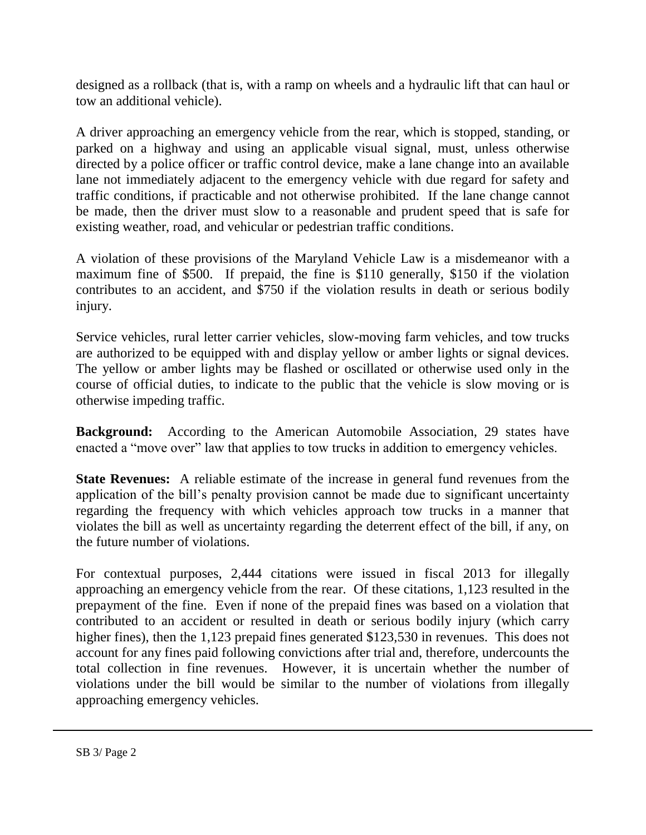designed as a rollback (that is, with a ramp on wheels and a hydraulic lift that can haul or tow an additional vehicle).

A driver approaching an emergency vehicle from the rear, which is stopped, standing, or parked on a highway and using an applicable visual signal, must, unless otherwise directed by a police officer or traffic control device, make a lane change into an available lane not immediately adjacent to the emergency vehicle with due regard for safety and traffic conditions, if practicable and not otherwise prohibited. If the lane change cannot be made, then the driver must slow to a reasonable and prudent speed that is safe for existing weather, road, and vehicular or pedestrian traffic conditions.

A violation of these provisions of the Maryland Vehicle Law is a misdemeanor with a maximum fine of \$500. If prepaid, the fine is \$110 generally, \$150 if the violation contributes to an accident, and \$750 if the violation results in death or serious bodily injury.

Service vehicles, rural letter carrier vehicles, slow-moving farm vehicles, and tow trucks are authorized to be equipped with and display yellow or amber lights or signal devices. The yellow or amber lights may be flashed or oscillated or otherwise used only in the course of official duties, to indicate to the public that the vehicle is slow moving or is otherwise impeding traffic.

**Background:** According to the American Automobile Association, 29 states have enacted a "move over" law that applies to tow trucks in addition to emergency vehicles.

**State Revenues:** A reliable estimate of the increase in general fund revenues from the application of the bill's penalty provision cannot be made due to significant uncertainty regarding the frequency with which vehicles approach tow trucks in a manner that violates the bill as well as uncertainty regarding the deterrent effect of the bill, if any, on the future number of violations.

For contextual purposes, 2,444 citations were issued in fiscal 2013 for illegally approaching an emergency vehicle from the rear. Of these citations, 1,123 resulted in the prepayment of the fine. Even if none of the prepaid fines was based on a violation that contributed to an accident or resulted in death or serious bodily injury (which carry higher fines), then the 1,123 prepaid fines generated \$123,530 in revenues. This does not account for any fines paid following convictions after trial and, therefore, undercounts the total collection in fine revenues. However, it is uncertain whether the number of violations under the bill would be similar to the number of violations from illegally approaching emergency vehicles.